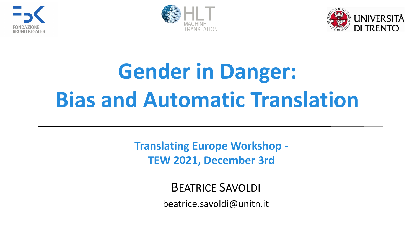





# **Gender in Danger: Bias and Automatic Translation**

**Translating Europe Workshop - TEW 2021, December 3rd**

> BEATRICE SAVOLDI [beatrice.savoldi@unitn.it](mailto:beatrice.savoldi@unitn.it)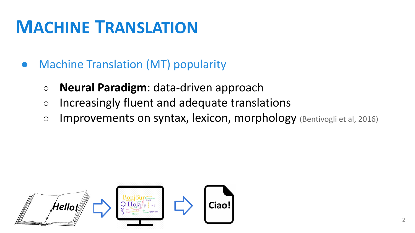### **MACHINE TRANSLATION**

- **Machine Translation (MT) popularity** 
	- **○ Neural Paradigm**: data-driven approach
	- Increasingly fluent and adequate translations
	- Improvements on syntax, lexicon, morphology (Bentivogli et al, 2016)

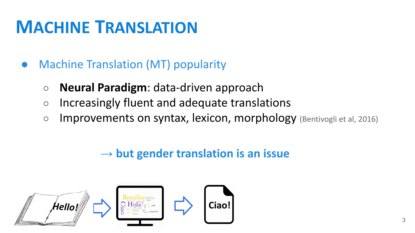### **MACHINE TRANSLATION**

- **Machine Translation (MT) popularity** 
	- **○ Neural Paradigm**: data-driven approach
	- Increasingly fluent and adequate translations
	- Improvements on syntax, lexicon, morphology (Bentivogli et al, 2016)

#### → **but gender translation is an issue**

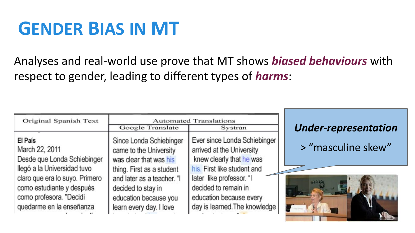### **GENDER BIAS IN MT**

Analyses and real-world use prove that MT shows *biased behaviours* with respect to gender, leading to different types of *harms*:

| Original Spanish Text          | Google Translate           | <b>Automated Translations</b><br>Systran | <b>Under-representation</b> |  |  |
|--------------------------------|----------------------------|------------------------------------------|-----------------------------|--|--|
| El País                        | Since Londa Schiebinger    | Ever since Londa Schiebinger             | > "masculine skew"          |  |  |
| March 22, 2011                 | came to the University     | arrived at the University                |                             |  |  |
| Desde que Londa Schiebinger    | was clear that was his     | knew clearly that he was                 |                             |  |  |
| llegó a la Universidad tuvo    | thing. First as a student  | his. First like student and              |                             |  |  |
| claro que era lo suyo. Primero | and later as a teacher. "I | later like professor. "I                 |                             |  |  |
| como estudiante y después      | decided to stay in         | decided to remain in                     |                             |  |  |
| como profesora. "Decidí        | education because you      | education because every                  |                             |  |  |
| quedarme en la enseñanza       | learn every day. I love    | day is learned. The knowledge            |                             |  |  |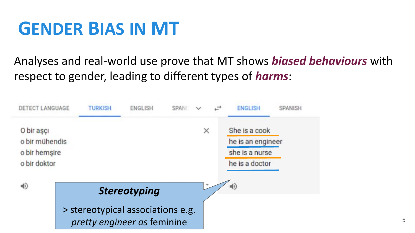### **GENDER BIAS IN MT**

#### Analyses and real-world use prove that MT shows *biased behaviours* with respect to gender, leading to different types of *harms*:

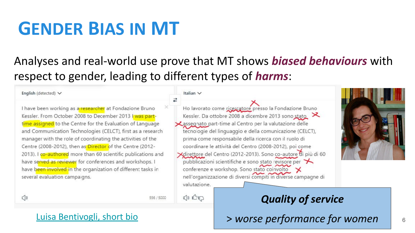### **GENDER BIAS IN MT**

#### Analyses and real-world use prove that MT shows *biased behaviours* with respect to gender, leading to different types of *harms*:

Italian V

valutazione.

 $Q$ )  $R$ 

#### English (detected)  $\vee$

I have been working as a researcher at Fondazione Bruno Kessler. From October 2008 to December 2013 I was parttime assigned to the Centre for the Evaluation of Language and Communication Technologies (CELCT), first as a research manager with the role of coordinating the activities of the Centre (2008-2012), then as Director of the Centre (2012-2013). I co-authored more than 60 scientific publications and have served as reviewer for conferences and workshops. I have been involved in the organization of different tasks in several evaluation campaigns.

Ho lavorato come ricercatore presso la Fondazione Bruno Kessler. Da ottobre 2008 a dicembre 2013 sono stato Lassegnato part-time al Centro per la valutazione delle tecnologie del linguaggio e della comunicazione (CELCT), prima come responsabile della ricerca con il ruolo di coordinare le attività del Centro (2008-2012), poi come Xdirettore del Centro (2012-2013). Sono co-autore di più di 60 pubblicazioni scientifiche e sono stato revisore per conferenze e workshop. Sono stato coinvolto

nell'organizzazione di diversi compiti in diverse campagne di



 $\bigcirc$ 

556 / 5000

#### *Quality of service*

> *worse performance for women*

#### [Luisa Bentivogli, short bio](https://ict.fbk.eu/people/detail/luisa-bentivogli/)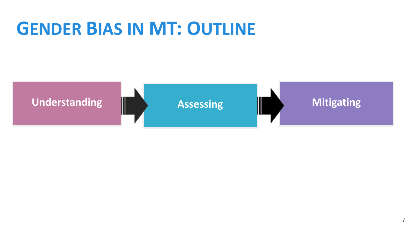### **GENDER BIAS IN MT: OUTLINE**

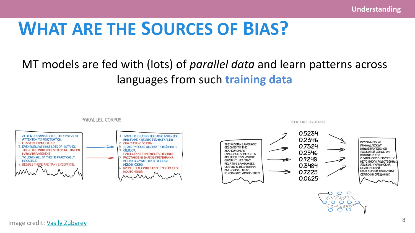#### MT models are fed with (lots) of *parallel data* and learn patterns across languages from such **training data**



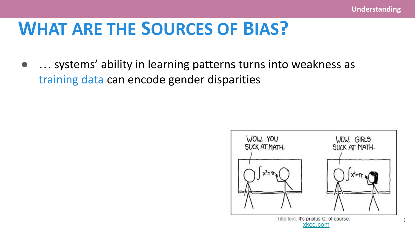... systems' ability in learning patterns turns into weakness as training data can encode gender disparities

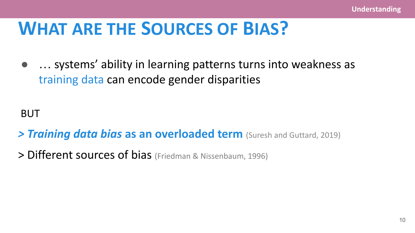... systems' ability in learning patterns turns into weakness as training data can encode gender disparities

BUT

- *> Training data bias* **as an overloaded term** (Suresh and Guttard, 2019)
- > Different sources of bias (Friedman & Nissenbaum, 1996)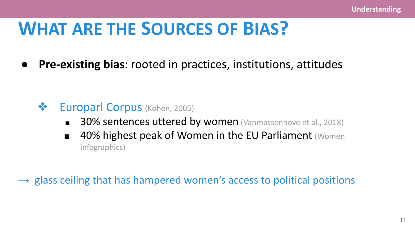**● Pre-existing bias**: rooted in practices, institutions, attitudes

#### ❖ Europarl Corpus (Kohen, 2005)

- 30% sentences uttered by women (Vanmassenhove et al., 2018)
- 40% highest peak of Women in the EU Parliament (Women infographics)

 $\rightarrow$  glass ceiling that has hampered women's access to political positions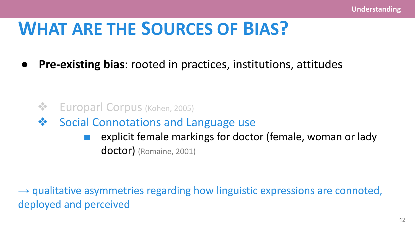**● Pre-existing bias**: rooted in practices, institutions, attitudes

❖ Europarl Corpus (Kohen, 2005)

❖ Social Connotations and Language use

■ explicit female markings for doctor (female, woman or lady doctor) (Romaine, 2001)

 $\rightarrow$  qualitative asymmetries regarding how linguistic expressions are connoted, deployed and perceived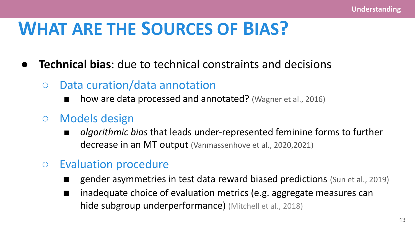- **Technical bias:** due to technical constraints and decisions
	- Data curation/data annotation
		- how are data processed and annotated? (Wagner et al., 2016)
	- Models design
		- *■ algorithmic bias* that leads under-represented feminine forms to further decrease in an MT output (Vanmassenhove et al., 2020,2021)
	- Evaluation procedure
		- gender asymmetries in test data reward biased predictions (Sun et al., 2019)
		- inadequate choice of evaluation metrics (e.g. aggregate measures can hide subgroup underperformance) (Mitchell et al., 2018)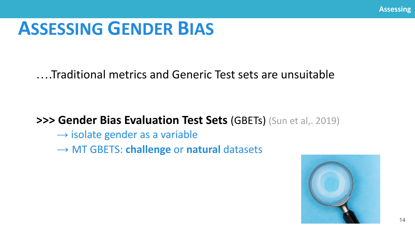### **ASSESSING GENDER BIAS**

#### ….Traditional metrics and Generic Test sets are unsuitable

#### **>>> Gender Bias Evaluation Test Sets** (GBETs) (Sun et al,. 2019)

- $\rightarrow$  isolate gender as a variable
- → MT GBETS: **challenge** or **natural** datasets

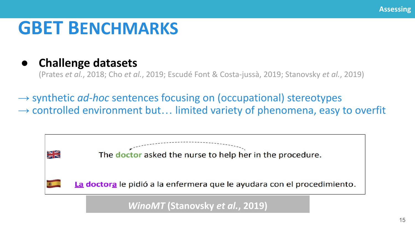### **GBET BENCHMARKS**

#### **● Challenge datasets**

(Prates *et al.*, 2018; Cho *et al.*, 2019; Escudé Font & Costa-jussà, 2019; Stanovsky *et al.*, 2019)

→ synthetic *ad-hoc* sentences focusing on (occupational) stereotypes  $\rightarrow$  controlled environment but... limited variety of phenomena, easy to overfit

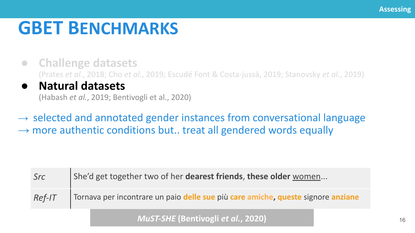### **GBET BENCHMARKS**

- **● Challenge datasets**  (Prates *et al.*, 2018; Cho *et al.*, 2019; Escudé Font & Costa-jussà, 2019; Stanovsky *et al.*, 2019)
- **● Natural datasets**

(Habash *et al.*, 2019; Bentivogli et al., 2020)

 $\rightarrow$  selected and annotated gender instances from conversational language  $\rightarrow$  more authentic conditions but.. treat all gendered words equally

| Src      | She'd get together two of her dearest friends, these older women                 |
|----------|----------------------------------------------------------------------------------|
| $Ref-IT$ | Tornava per incontrare un paio delle sue più care amiche, queste signore anziane |

*MuST-SHE* **(Bentivogli** *et al.***, 2020)**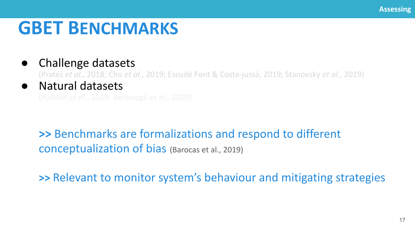### **GBET BENCHMARKS**

#### Challenge datasets

(Prates *et al.*, 2018; Cho *et al.*, 2019; Escudé Font & Costa-jussà, 2019; Stanovsky *et al.*, 2019)

#### **Natural datasets**

**>>** Benchmarks are formalizations and respond to different conceptualization of bias (Barocas et al., 2019)

**>>** Relevant to monitor system's behaviour and mitigating strategies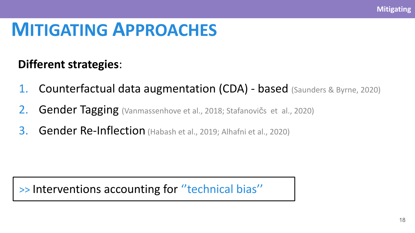#### **Different strategies**:

- 1. Counterfactual data augmentation (CDA) based (Saunders & Byrne, 2020)
- 2. Gender Tagging (Vanmassenhove et al., 2018; Stafanovičs et al., 2020)
- 3. Gender Re-Inflection (Habash et al., 2019; Alhafni et al., 2020)

>> Interventions accounting for ''technical bias''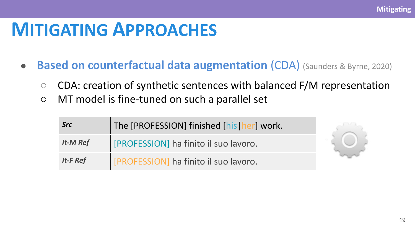- **Based on counterfactual data augmentation** (CDA) (Saunders & Byrne, 2020)
	- CDA: creation of synthetic sentences with balanced F/M representation
	- MT model is fine-tuned on such a parallel set

| <b>Src</b>      | The [PROFESSION] finished [his   her] work. |  |
|-----------------|---------------------------------------------|--|
| <b>It-M Ref</b> | [PROFESSION] ha finito il suo lavoro.       |  |
| It-F Ref        | [PROFESSION] ha finito il suo lavoro.       |  |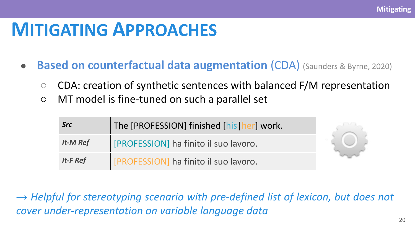- **Based on counterfactual data augmentation** (CDA) (Saunders & Byrne, 2020)
	- CDA: creation of synthetic sentences with balanced F/M representation
	- MT model is fine-tuned on such a parallel set

| <b>Src</b>      | The [PROFESSION] finished [his   her] work. |  |  |
|-----------------|---------------------------------------------|--|--|
| <b>It-M Ref</b> | [PROFESSION] ha finito il suo lavoro.       |  |  |
| It-F Ref        | [PROFESSION] ha finito il suo lavoro.       |  |  |

→ *Helpful for stereotyping scenario with pre-defined list of lexicon, but does not cover under-representation on variable language data*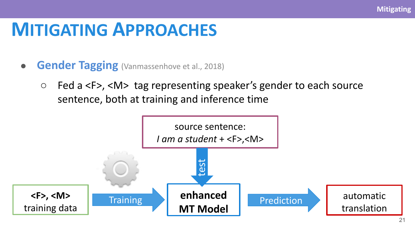- **Gender Tagging** (Vanmassenhove et al., 2018)
	- Fed a <F>, <M> tag representing speaker's gender to each source sentence, both at training and inference time

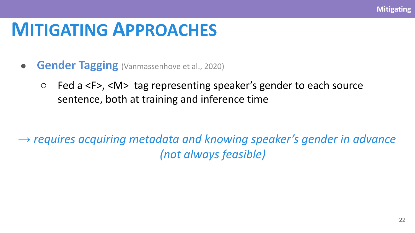- **Gender Tagging** (Vanmassenhove et al., 2020)
	- Fed a <F>, <M> tag representing speaker's gender to each source sentence, both at training and inference time

*→ requires acquiring metadata and knowing speaker's gender in advance (not always feasible)*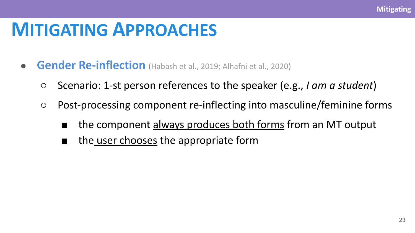- **Gender Re-inflection** (Habash et al., 2019; Alhafni et al., 2020)
	- Scenario: 1-st person references to the speaker (e.g., *I am a student*)
	- Post-processing component re-inflecting into masculine/feminine forms
		- the component always produces both forms from an MT output
		- the user chooses the appropriate form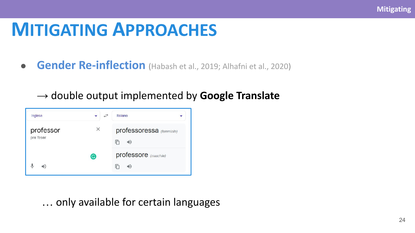**Gender Re-inflection** (Habash et al., 2019; Alhafni et al., 2020)

#### → double output implemented by **Google Translate**

| Inglese                | $\overrightarrow{C}$ | Italiano                            |
|------------------------|----------------------|-------------------------------------|
| professor<br>pre'feser | ×                    | professoressa (femminile)<br>m<br>● |
|                        | G                    | professore (maschile)<br>IГ<br>⑩    |

… only available for certain languages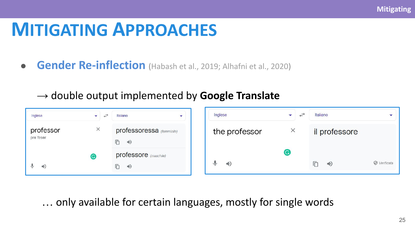**• Gender Re-inflection** (Habash et al., 2019; Alhafni et al., 2020)

#### → double output implemented by **Google Translate**

| Inglese                   | $\overrightarrow{C}$<br>$\overline{\phantom{0}}$ | Italiano<br>÷                                    | Inglese       | $\overrightarrow{c}$<br>$\overline{\phantom{0}}$ | Italiano      |                      |
|---------------------------|--------------------------------------------------|--------------------------------------------------|---------------|--------------------------------------------------|---------------|----------------------|
| professor<br>pre'feser    | $\times$                                         | professoressa (femminile)<br>$\Rightarrow$<br>n. | the professor | $\times$                                         | il professore |                      |
| €<br>$\blacktriangleleft$ |                                                  | professore (maschile)<br>$\Rightarrow$           | 40<br>ভ       |                                                  | $\Rightarrow$ | $\oslash$ Verificata |

… only available for certain languages, mostly for single words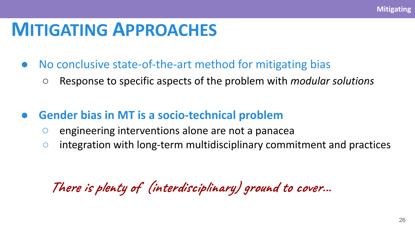- No conclusive state-of-the-art method for mitigating bias
	- Response to specific aspects of the problem with *modular solutions*
- **Gender bias in MT is a socio-technical problem** 
	- engineering interventions alone are not a panacea
	- integration with long-term multidisciplinary commitment and practices

**There is plenty of (interdisciplinary) ground to cover...**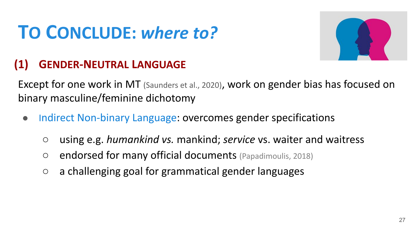

#### **(1) GENDER-NEUTRAL LANGUAGE**

Except for one work in MT (Saunders et al., 2020), work on gender bias has focused on binary masculine/feminine dichotomy

- Indirect Non-binary Language: overcomes gender specifications
	- using e.g. *humankind vs.* mankind; *service* vs. waiter and waitress
	- endorsed for many official documents (Papadimoulis, 2018)
	- a challenging goal for grammatical gender languages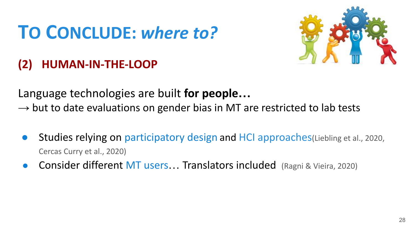

#### **(2) HUMAN-IN-THE-LOOP**

Language technologies are built **for people…**

 $\rightarrow$  but to date evaluations on gender bias in MT are restricted to lab tests

- **Studies relying on participatory design and HCI approaches (Liebling et al., 2020,** Cercas Curry et al., 2020)
- Consider different MT users... Translators included (Ragni & Vieira, 2020)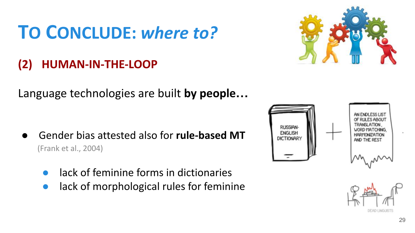#### **(2) HUMAN-IN-THE-LOOP**

Language technologies are built **by people…**

- Gender bias attested also for **rule-based MT**  (Frank et al., 2004)
	- lack of feminine forms in dictionaries
	- lack of morphological rules for feminine





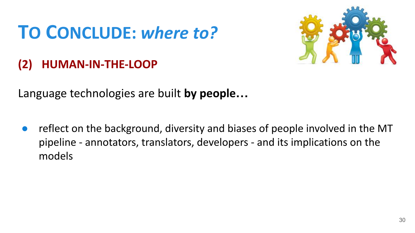

#### **(2) HUMAN-IN-THE-LOOP**

Language technologies are built **by people…**

reflect on the background, diversity and biases of people involved in the MT pipeline - annotators, translators, developers - and its implications on the models